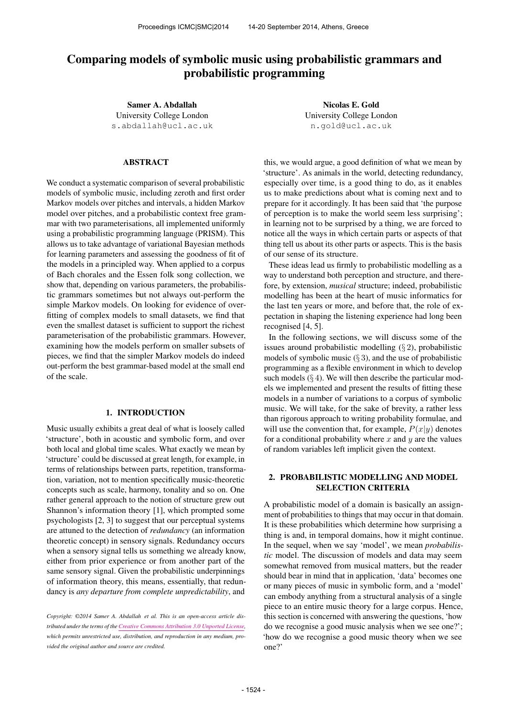# Comparing models of symbolic music using probabilistic grammars and probabilistic programming

Samer A. Abdallah University College London [s.abdallah@ucl.ac.uk](mailto:s.abdallah@ucl.ac.uk)

## ABSTRACT

We conduct a systematic comparison of several probabilistic models of symbolic music, including zeroth and first order Markov models over pitches and intervals, a hidden Markov model over pitches, and a probabilistic context free grammar with two parameterisations, all implemented uniformly using a probabilistic programming language (PRISM). This allows us to take advantage of variational Bayesian methods for learning parameters and assessing the goodness of fit of the models in a principled way. When applied to a corpus of Bach chorales and the Essen folk song collection, we show that, depending on various parameters, the probabilistic grammars sometimes but not always out-perform the simple Markov models. On looking for evidence of overfitting of complex models to small datasets, we find that even the smallest dataset is sufficient to support the richest parameterisation of the probabilistic grammars. However, examining how the models perform on smaller subsets of pieces, we find that the simpler Markov models do indeed out-perform the best grammar-based model at the small end of the scale.

#### 1. INTRODUCTION

Music usually exhibits a great deal of what is loosely called 'structure', both in acoustic and symbolic form, and over both local and global time scales. What exactly we mean by 'structure' could be discussed at great length, for example, in terms of relationships between parts, repetition, transformation, variation, not to mention specifically music-theoretic concepts such as scale, harmony, tonality and so on. One rather general approach to the notion of structure grew out Shannon's information theory [1], which prompted some psychologists [2, 3] to suggest that our perceptual systems are attuned to the detection of *redundancy* (an information theoretic concept) in sensory signals. Redundancy occurs when a sensory signal tells us something we already know, either from prior experience or from another part of the same sensory signal. Given the probabilistic underpinnings of information theory, this means, essentially, that redundancy is *any departure from complete unpredictability*, and

*Copyright: ©2014 Samer A. Abdallah et al. This is an open-access article distributed under the terms of the [Creative Commons Attribution 3.0 Unported License,](http://creativecommons.org/licenses/by/3.0/) which permits unrestricted use, distribution, and reproduction in any medium, provided the original author and source are credited.*

Nicolas E. Gold University College London [n.gold@ucl.ac.uk](mailto:n.gold@ucl.ac.uk)

this, we would argue, a good definition of what we mean by 'structure'. As animals in the world, detecting redundancy, especially over time, is a good thing to do, as it enables us to make predictions about what is coming next and to prepare for it accordingly. It has been said that 'the purpose of perception is to make the world seem less surprising'; in learning not to be surprised by a thing, we are forced to notice all the ways in which certain parts or aspects of that thing tell us about its other parts or aspects. This is the basis of our sense of its structure.

These ideas lead us firmly to probabilistic modelling as a way to understand both perception and structure, and therefore, by extension, *musical* structure; indeed, probabilistic modelling has been at the heart of music informatics for the last ten years or more, and before that, the role of expectation in shaping the listening experience had long been recognised [4, 5].

In the following sections, we will discuss some of the issues around probabilistic modelling (§ 2), probabilistic models of symbolic music  $(\S 3)$ , and the use of probabilistic programming as a flexible environment in which to develop such models  $(\S 4)$ . We will then describe the particular models we implemented and present the results of fitting these models in a number of variations to a corpus of symbolic music. We will take, for the sake of brevity, a rather less than rigorous approach to writing probability formulae, and will use the convention that, for example,  $P(x|y)$  denotes for a conditional probability where  $x$  and  $y$  are the values of random variables left implicit given the context.

# 2. PROBABILISTIC MODELLING AND MODEL SELECTION CRITERIA

A probabilistic model of a domain is basically an assignment of probabilities to things that may occur in that domain. It is these probabilities which determine how surprising a thing is and, in temporal domains, how it might continue. In the sequel, when we say 'model', we mean *probabilistic* model. The discussion of models and data may seem somewhat removed from musical matters, but the reader should bear in mind that in application, 'data' becomes one or many pieces of music in symbolic form, and a 'model' can embody anything from a structural analysis of a single piece to an entire music theory for a large corpus. Hence, this section is concerned with answering the questions, 'how do we recognise a good music analysis when we see one?'; 'how do we recognise a good music theory when we see one?'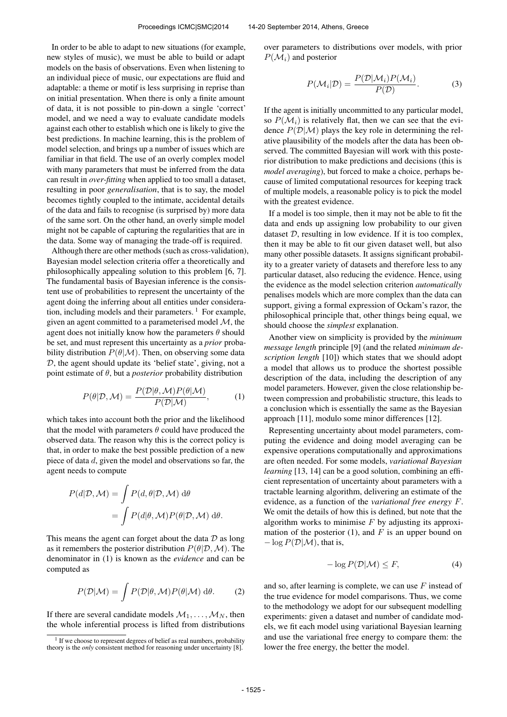In order to be able to adapt to new situations (for example, new styles of music), we must be able to build or adapt models on the basis of observations. Even when listening to an individual piece of music, our expectations are fluid and adaptable: a theme or motif is less surprising in reprise than on initial presentation. When there is only a finite amount of data, it is not possible to pin-down a single 'correct' model, and we need a way to evaluate candidate models against each other to establish which one is likely to give the best predictions. In machine learning, this is the problem of model selection, and brings up a number of issues which are familiar in that field. The use of an overly complex model with many parameters that must be inferred from the data can result in *over-fitting* when applied to too small a dataset, resulting in poor *generalisation*, that is to say, the model becomes tightly coupled to the intimate, accidental details of the data and fails to recognise (is surprised by) more data of the same sort. On the other hand, an overly simple model might not be capable of capturing the regularities that are in the data. Some way of managing the trade-off is required.

Although there are other methods (such as cross-validation), Bayesian model selection criteria offer a theoretically and philosophically appealing solution to this problem [6, 7]. The fundamental basis of Bayesian inference is the consistent use of probabilities to represent the uncertainty of the agent doing the inferring about all entities under consideration, including models and their parameters.  $\frac{1}{1}$  For example, given an agent committed to a parameterised model  $M$ , the agent does not initially know how the parameters  $\theta$  should be set, and must represent this uncertainty as a *prior* probability distribution  $P(\theta|\mathcal{M})$ . Then, on observing some data D, the agent should update its 'belief state', giving, not a point estimate of θ, but a *posterior* probability distribution

$$
P(\theta|\mathcal{D}, \mathcal{M}) = \frac{P(\mathcal{D}|\theta, \mathcal{M}) P(\theta|\mathcal{M})}{P(\mathcal{D}|\mathcal{M})},
$$
 (1)

which takes into account both the prior and the likelihood that the model with parameters  $\theta$  could have produced the observed data. The reason why this is the correct policy is that, in order to make the best possible prediction of a new piece of data d, given the model and observations so far, the agent needs to compute

$$
P(d|\mathcal{D}, \mathcal{M}) = \int P(d, \theta | \mathcal{D}, \mathcal{M}) d\theta
$$
  
= 
$$
\int P(d|\theta, \mathcal{M}) P(\theta | \mathcal{D}, \mathcal{M}) d\theta.
$$

This means the agent can forget about the data  $D$  as long as it remembers the posterior distribution  $P(\theta|\mathcal{D},\mathcal{M})$ . The denominator in (1) is known as the *evidence* and can be computed as

$$
P(\mathcal{D}|\mathcal{M}) = \int P(\mathcal{D}|\theta, \mathcal{M}) P(\theta|\mathcal{M}) \, d\theta.
$$
 (2)

If there are several candidate models  $M_1, \ldots, M_N$ , then the whole inferential process is lifted from distributions over parameters to distributions over models, with prior  $P(\mathcal{M}_i)$  and posterior

$$
P(\mathcal{M}_i|\mathcal{D}) = \frac{P(\mathcal{D}|\mathcal{M}_i)P(\mathcal{M}_i)}{P(\mathcal{D})}.
$$
 (3)

If the agent is initially uncommitted to any particular model, so  $P(\mathcal{M}_i)$  is relatively flat, then we can see that the evidence  $P(D|M)$  plays the key role in determining the relative plausibility of the models after the data has been observed. The committed Bayesian will work with this posterior distribution to make predictions and decisions (this is *model averaging*), but forced to make a choice, perhaps because of limited computational resources for keeping track of multiple models, a reasonable policy is to pick the model with the greatest evidence.

If a model is too simple, then it may not be able to fit the data and ends up assigning low probability to our given dataset  $D$ , resulting in low evidence. If it is too complex, then it may be able to fit our given dataset well, but also many other possible datasets. It assigns significant probability to a greater variety of datasets and therefore less to any particular dataset, also reducing the evidence. Hence, using the evidence as the model selection criterion *automatically* penalises models which are more complex than the data can support, giving a formal expression of Ockam's razor, the philosophical principle that, other things being equal, we should choose the *simplest* explanation.

Another view on simplicity is provided by the *minimum message length* principle [9] (and the related *minimum description length* [10]) which states that we should adopt a model that allows us to produce the shortest possible description of the data, including the description of any model parameters. However, given the close relationship between compression and probabilistic structure, this leads to a conclusion which is essentially the same as the Bayesian approach [11], modulo some minor differences [12].

Representing uncertainty about model parameters, computing the evidence and doing model averaging can be expensive operations computationally and approximations are often needed. For some models, *variational Bayesian learning* [13, 14] can be a good solution, combining an efficient representation of uncertainty about parameters with a tractable learning algorithm, delivering an estimate of the evidence, as a function of the *variational free energy* F. We omit the details of how this is defined, but note that the algorithm works to minimise  $F$  by adjusting its approximation of the posterior (1), and  $F$  is an upper bound on  $-\log P(\mathcal{D}|\mathcal{M})$ , that is,

$$
-\log P(\mathcal{D}|\mathcal{M}) \le F,\tag{4}
$$

and so, after learning is complete, we can use  $F$  instead of the true evidence for model comparisons. Thus, we come to the methodology we adopt for our subsequent modelling experiments: given a dataset and number of candidate models, we fit each model using variational Bayesian learning and use the variational free energy to compare them: the lower the free energy, the better the model.

<sup>&</sup>lt;sup>1</sup> If we choose to represent degrees of belief as real numbers, probability theory is the *only* consistent method for reasoning under uncertainty [8].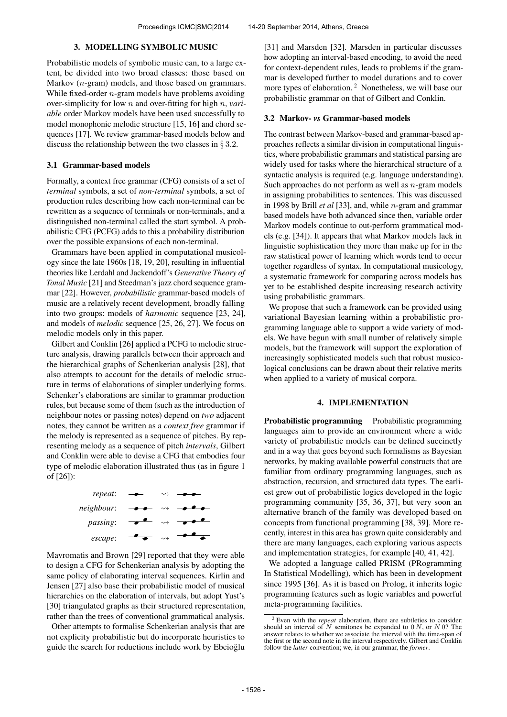#### 3. MODELLING SYMBOLIC MUSIC

Probabilistic models of symbolic music can, to a large extent, be divided into two broad classes: those based on Markov (*n*-gram) models, and those based on grammars. While fixed-order  $n$ -gram models have problems avoiding over-simplicity for low n and over-fitting for high n, *variable* order Markov models have been used successfully to model monophonic melodic structure [15, 16] and chord sequences [17]. We review grammar-based models below and discuss the relationship between the two classes in  $\S 3.2$ .

# 3.1 Grammar-based models

Formally, a context free grammar (CFG) consists of a set of *terminal* symbols, a set of *non-terminal* symbols, a set of production rules describing how each non-terminal can be rewritten as a sequence of terminals or non-terminals, and a distinguished non-terminal called the start symbol. A probabilistic CFG (PCFG) adds to this a probability distribution over the possible expansions of each non-terminal.

Grammars have been applied in computational musicology since the late 1960s [18, 19, 20], resulting in influential theories like Lerdahl and Jackendoff's *Generative Theory of Tonal Music* [21] and Steedman's jazz chord sequence grammar [22]. However, *probabilistic* grammar-based models of music are a relatively recent development, broadly falling into two groups: models of *harmonic* sequence [23, 24], and models of *melodic* sequence [25, 26, 27]. We focus on melodic models only in this paper.

Gilbert and Conklin [26] applied a PCFG to melodic structure analysis, drawing parallels between their approach and the hierarchical graphs of Schenkerian analysis [28], that also attempts to account for the details of melodic structure in terms of elaborations of simpler underlying forms. Schenker's elaborations are similar to grammar production rules, but because some of them (such as the introduction of neighbour notes or passing notes) depend on *two* adjacent notes, they cannot be written as a *context free* grammar if the melody is represented as a sequence of pitches. By representing melody as a sequence of pitch *intervals*, Gilbert and Conklin were able to devise a CFG that embodies four type of melodic elaboration illustrated thus (as in figure 1 of [26]):



Mavromatis and Brown [29] reported that they were able to design a CFG for Schenkerian analysis by adopting the same policy of elaborating interval sequences. Kirlin and Jensen [27] also base their probabilistic model of musical hierarchies on the elaboration of intervals, but adopt Yust's [30] triangulated graphs as their structured representation, rather than the trees of conventional grammatical analysis.

Other attempts to formalise Schenkerian analysis that are not explicity probabilistic but do incorporate heuristics to guide the search for reductions include work by Ebcioglu [31] and Marsden [32]. Marsden in particular discusses how adopting an interval-based encoding, to avoid the need for context-dependent rules, leads to problems if the grammar is developed further to model durations and to cover more types of elaboration.<sup>2</sup> Nonetheless, we will base our probabilistic grammar on that of Gilbert and Conklin.

#### 3.2 Markov- *vs* Grammar-based models

The contrast between Markov-based and grammar-based approaches reflects a similar division in computational linguistics, where probabilistic grammars and statistical parsing are widely used for tasks where the hierarchical structure of a syntactic analysis is required (e.g. language understanding). Such approaches do not perform as well as  $n$ -gram models in assigning probabilities to sentences. This was discussed in 1998 by Brill *et al* [33], and, while n-gram and grammar based models have both advanced since then, variable order Markov models continue to out-perform grammatical models (e.g. [34]). It appears that what Markov models lack in linguistic sophistication they more than make up for in the raw statistical power of learning which words tend to occur together regardless of syntax. In computational musicology, a systematic framework for comparing across models has yet to be established despite increasing research activity using probabilistic grammars.

We propose that such a framework can be provided using variational Bayesian learning within a probabilistic programming language able to support a wide variety of models. We have begun with small number of relatively simple models, but the framework will support the exploration of increasingly sophisticated models such that robust musicological conclusions can be drawn about their relative merits when applied to a variety of musical corpora.

#### 4. IMPLEMENTATION

Probabilistic programming Probabilistic programming languages aim to provide an environment where a wide variety of probabilistic models can be defined succinctly and in a way that goes beyond such formalisms as Bayesian networks, by making available powerful constructs that are familiar from ordinary programming languages, such as abstraction, recursion, and structured data types. The earliest grew out of probabilistic logics developed in the logic programming community [35, 36, 37], but very soon an alternative branch of the family was developed based on concepts from functional programming [38, 39]. More recently, interest in this area has grown quite considerably and there are many languages, each exploring various aspects and implementation strategies, for example [40, 41, 42].

We adopted a language called PRISM (PRogramming In Statistical Modelling), which has been in development since 1995 [36]. As it is based on Prolog, it inherits logic programming features such as logic variables and powerful meta-programming facilities.

<sup>2</sup> Even with the *repeat* elaboration, there are subtleties to consider: should an interval of  $N$  semitones be expanded to  $0 N$ , or  $N 0$ ? The answer relates to whether we associate the interval with the time-span of the first or the second note in the interval respectively. Gilbert and Conklin follow the *latter* convention; we, in our grammar, the *former*.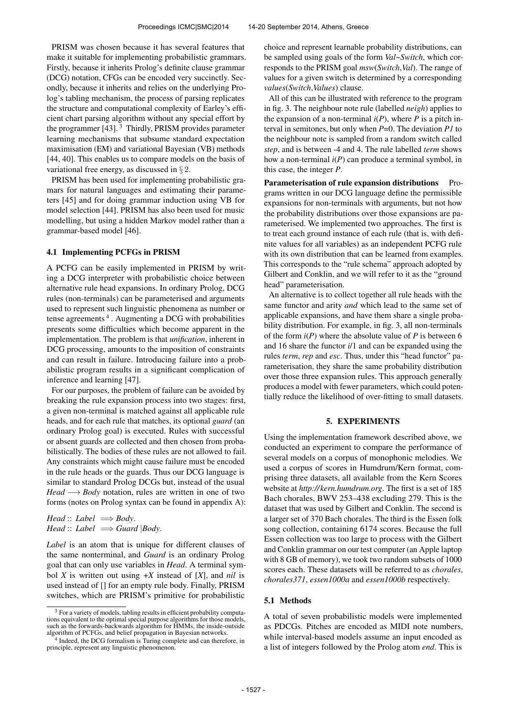PRISM was chosen because it has several features that make it suitable for implementing probabilistic grammars. Firstly, because it inherits Prolog's definite clause grammar (DCG) notation, CFGs can be encoded very succinctly. Secondly, because it inherits and relies on the underlying Prolog's tabling mechanism, the process of parsing replicates the structure and computational complexity of Earley's efficient chart parsing algorithm without any special effort by the programmer [43].<sup>3</sup> Thirdly, PRISM provides parameter learning mechanisms that subsume standard expectation maximisation (EM) and variational Bayesian (VB) methods [44, 40]. This enables us to compare models on the basis of variational free energy, as discussed in § 2.

PRISM has been used for implementing probabilistic gramars for natural languages and estimating their parameters [45] and for doing grammar induction using VB for model selection [44]. PRISM has also been used for music modelling, but using a hidden Markov model rather than a grammar-based model [46].

#### 4.1 Implementing PCFGs in PRISM

A PCFG can be easily implemented in PRISM by writing a DCG interpreter with probabilistic choice between alternative rule head expansions. In ordinary Prolog, DCG rules (non-terminals) can be parameterised and arguments used to represent such linguistic phenomena as number or tense agreements  $4$ . Augmenting a DCG with probabilities presents some difficulties which become apparent in the implementation. The problem is that *unification*, inherent in DCG processing, amounts to the imposition of constraints and can result in failure. Introducing failure into a probabilistic program results in a significant complication of inference and learning [47].

For our purposes, the problem of failure can be avoided by breaking the rule expansion process into two stages: first, a given non-terminal is matched against all applicable rule heads, and for each rule that matches, its optional *guard* (an ordinary Prolog goal) is executed. Rules with successful or absent guards are collected and then chosen from probabilistically. The bodies of these rules are not allowed to fail. Any constraints which might cause failure must be encoded in the rule heads or the guards. Thus our DCG language is similar to standard Prolog DCGs but, instead of the usual *Head* → *Body* notation, rules are written in one of two forms (notes on Prolog syntax can be found in appendix A):

*Head* :: *Label*  $\implies$  *Body*. *Head* :: *Label*  $\implies$  *Guard*  $|$ *Body*.

*Label* is an atom that is unique for different clauses of the same nonterminal, and *Guard* is an ordinary Prolog goal that can only use variables in *Head*. A terminal symbol *X* is written out using +*X* instead of [*X*], and *nil* is used instead of [] for an empty rule body. Finally, PRISM switches, which are PRISM's primitive for probabilistic

choice and represent learnable probability distributions, can be sampled using goals of the form *Val*~*Switch*, which corresponds to the PRISM goal *msw*(*Switch*,*Val*). The range of values for a given switch is determined by a corresponding *values*(*Switch*,*Values*) clause.

All of this can be illustrated with reference to the program in fig. 3. The neighbour note rule (labelled *neigh*) applies to the expansion of a non-terminal  $i(P)$ , where  $P$  is a pitch interval in semitones, but only when *P*=0. The deviation *P1* to the neighbour note is sampled from a random switch called *step*, and is between -4 and 4. The rule labelled *term* shows how a non-terminal *i*(*P*) can produce a terminal symbol, in this case, the integer *P*.

Parameterisation of rule expansion distributions Programs written in our DCG language define the permissible expansions for non-terminals with arguments, but not how the probability distributions over those expansions are parameterised. We implemented two approaches. The first is to treat each ground instance of each rule (that is, with definite values for all variables) as an independent PCFG rule with its own distribution that can be learned from examples. This corresponds to the "rule schema" approach adopted by Gilbert and Conklin, and we will refer to it as the "ground head" parameterisation.

An alternative is to collect together all rule heads with the same functor and arity *and* which lead to the same set of applicable expansions, and have them share a single probability distribution. For example, in fig. 3, all non-terminals of the form *i*(*P*) where the absolute value of *P* is between 6 and 16 share the functor *i*/1 and can be expanded using the rules *term*, *rep* and *esc*. Thus, under this "head functor" parameterisation, they share the same probability distribution over those three expansion rules. This approach generally produces a model with fewer parameters, which could potentially reduce the likelihood of over-fitting to small datasets.

#### 5. EXPERIMENTS

Using the implementation framework described above, we conducted an experiment to compare the performance of several models on a corpus of monophonic melodies. We used a corpus of scores in Humdrum/Kern format, comprising three datasets, all available from the Kern Scores website at *<http://kern.humdrum.org>*. The first is a set of 185 Bach chorales, BWV 253–438 excluding 279. This is the dataset that was used by Gilbert and Conklin. The second is a larger set of 370 Bach chorales. The third is the Essen folk song collection, containing 6174 scores. Because the full Essen collection was too large to process with the Gilbert and Conklin grammar on our test computer (an Apple laptop with 8 GB of memory), we took two random subsets of 1000 scores each. These datasets will be referred to as *chorales*, *chorales371*, *essen1000a* and *essen1000b* respectively.

## 5.1 Methods

A total of seven probabilistic models were implemented as PDCGs. Pitches are encoded as MIDI note numbers, while interval-based models assume an input encoded as a list of integers followed by the Prolog atom *end*. This is

 $3$  For a variety of models, tabling results in efficient probability computations equivalent to the optimal special purpose algorithms for those models, such as the forwards-backwards algorithm for HMMs, the inside-outside algorithm of PCFGs, and belief propagation in Bayesian networks.

<sup>4</sup> Indeed, the DCG formalism is Turing complete and can therefore, in principle, represent any linguistic phenomenon.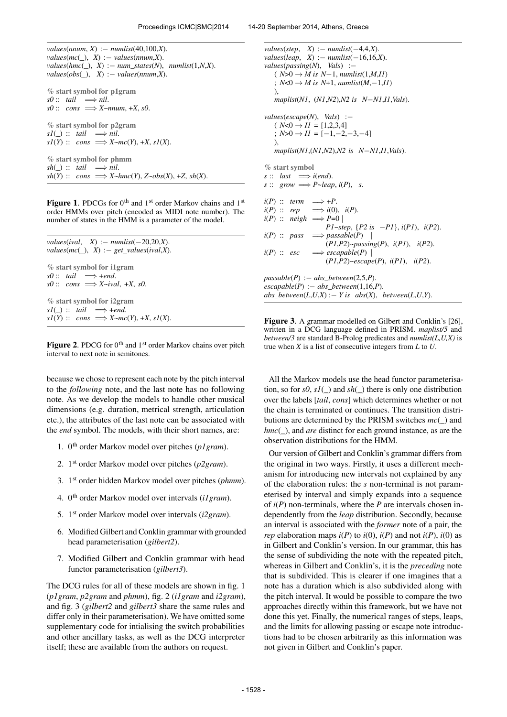*values*(*nnum*, *X*) :− *numlist*(40,100,*X*).  $values(mc(\_), X) := values(nnum,X).$  $values(hmc(\_), X) := num\_states(N), numlist(1,N,X).$  $values(obs(\_), X) := values(nnum,X).$ % start symbol for p1gram  $s0$  :: *tail*  $\implies$  *nil.*  $s0$  :: *cons*  $\implies$  *X*~*nnum*, +*X*, *s0*. % start symbol for p2gram  $sI(\_) :: tail \implies nil.$  $sI(Y) :: cons \implies X \sim mc(Y), +X, sI(X).$ % start symbol for phmm  $sh(\_):$  *tail*  $\implies$  *nil.*  $sh(Y)$  :: *cons*  $\implies$ *X*~*hmc*(*Y*), *Z*~ $obs(X)$ , +*Z*,  $sh(X)$ .

Figure 1. PDCGs for 0<sup>th</sup> and 1<sup>st</sup> order Markov chains and 1<sup>st</sup> order HMMs over pitch (encoded as MIDI note number). The number of states in the HMM is a parameter of the model.

```
values(ival, X) := numlist(-20, 20, X).values(mc(\_), X) := get\_values(ival,X).% start symbol for i1gram
s0 :: tail \implies +end.
s0 :: cons \implies X \sim ival, \pm X, \ s0.% start symbol for i2gram
sI(\_) :: tail \implies +end.sI(Y) :: cons \implies X~mc(Y), +X, s1(X).
```
Figure 2. PDCG for 0<sup>th</sup> and 1<sup>st</sup> order Markov chains over pitch interval to next note in semitones.

because we chose to represent each note by the pitch interval to the *following* note, and the last note has no following note. As we develop the models to handle other musical dimensions (e.g. duration, metrical strength, articulation etc.), the attributes of the last note can be associated with the *end* symbol. The models, with their short names, are:

- 1. 0th order Markov model over pitches (*p1gram*).
- 2. 1st order Markov model over pitches (*p2gram*).
- 3. 1st order hidden Markov model over pitches (*phmm*).
- 4. 0th order Markov model over intervals (*i1gram*).
- 5. 1st order Markov model over intervals (*i2gram*).
- 6. Modified Gilbert and Conklin grammar with grounded head parameterisation (*gilbert2*).
- 7. Modified Gilbert and Conklin grammar with head functor parameterisation (*gilbert3*).

The DCG rules for all of these models are shown in fig. 1 (*p1gram*, *p2gram* and *phmm*), fig. 2 (*i1gram* and *i2gram*), and fig. 3 (*gilbert2* and *gilbert3* share the same rules and differ only in their parameterisation). We have omitted some supplementary code for intialising the switch probabilities and other ancillary tasks, as well as the DCG interpreter itself; these are available from the authors on request.

*values*(*step*, *X*) :− *numlist*(−4,4,*X*). *values*(*leap*, *X*) :− *numlist*(−16,16,*X*). *values*(*passing*(*N*), *Vals*) :−  $(N>0 → M$  is  $N-1$ , *numlist*(1,*M*,*II*) ;  $N < 0$  → *M* is  $N+1$ , *numlist*( $M, −1, I$ ) ), *maplist*(*N1*, (*N1*,*N2*),*N2 is N*−*N1*,*I1*,*Vals*). *values*(*escape*(*N*), *Vals*) :−  $(N<0 \rightarrow II = [1,2,3,4]$ ;  $N>0 \rightarrow II = [-1,-2,-3,-4]$ ), *maplist*(*N1*,(*N1*,*N2*),*N2 is N*−*N1*,*I1*,*Vals*). % start symbol  $s :: \text{last} \implies i(\text{end}).$  $s :: grow \implies P \sim leap, i(P), s.$  $i(P)$  :: *term*  $\implies$  +*P*.  $i(P)$  :: *rep*  $\implies$   $i(0)$ ,  $i(P)$ .  $i(P) :: \text{neigh} \implies P=0$ *P1*~*step*, {*P2 is* −*P1*}, *i*(*P1*), *i*(*P2*).  $i(P)$  :: *pass*  $\implies$  *passable*(*P*) | (*P1*,*P2*)~*passing*(*P*), *i*(*P1*), *i*(*P2*). *i*(*P*) :: *esc* =⇒ *escapable*(*P*) | (*P1*,*P2*)~*escape*(*P*), *i*(*P1*), *i*(*P2*). *passable*(*P*) :− *abs\_between*(2,5,*P*).  $\textit{escapeable}(P) := abs\_between(1,16,P).$  $abs\_between(L, U, X) := Y$  is  $abs(X)$ ,  $between(L, U, Y)$ .

Figure 3. A grammar modelled on Gilbert and Conklin's [26], written in a DCG language defined in PRISM. *maplist/5* and *between/3* are standard B-Prolog predicates and *numlist(L,U,X)* is true when *X* is a list of consecutive integers from *L* to *U*.

All the Markov models use the head functor parameterisation, so for  $s0$ ,  $s1()$  and  $sh()$  there is only one distribution over the labels [*tail*, *cons*] which determines whether or not the chain is terminated or continues. The transition distributions are determined by the PRISM switches *mc*(*\_*) and *hmc*(*\_*), and *are* distinct for each ground instance, as are the observation distributions for the HMM.

Our version of Gilbert and Conklin's grammar differs from the original in two ways. Firstly, it uses a different mechanism for introducing new intervals not explained by any of the elaboration rules: the *s* non-terminal is not parameterised by interval and simply expands into a sequence of *i*(*P*) non-terminals, where the *P* are intervals chosen independently from the *leap* distribution. Secondly, because an interval is associated with the *former* note of a pair, the *rep* elaboration maps  $i(P)$  to  $i(0)$ ,  $i(P)$  and not  $i(P)$ ,  $i(0)$  as in Gilbert and Conklin's version. In our grammar, this has the sense of subdividing the note with the repeated pitch, whereas in Gilbert and Conklin's, it is the *preceding* note that is subdivided. This is clearer if one imagines that a note has a duration which is also subdivided along with the pitch interval. It would be possible to compare the two approaches directly within this framework, but we have not done this yet. Finally, the numerical ranges of steps, leaps, and the limits for allowing passing or escape note introductions had to be chosen arbitrarily as this information was not given in Gilbert and Conklin's paper.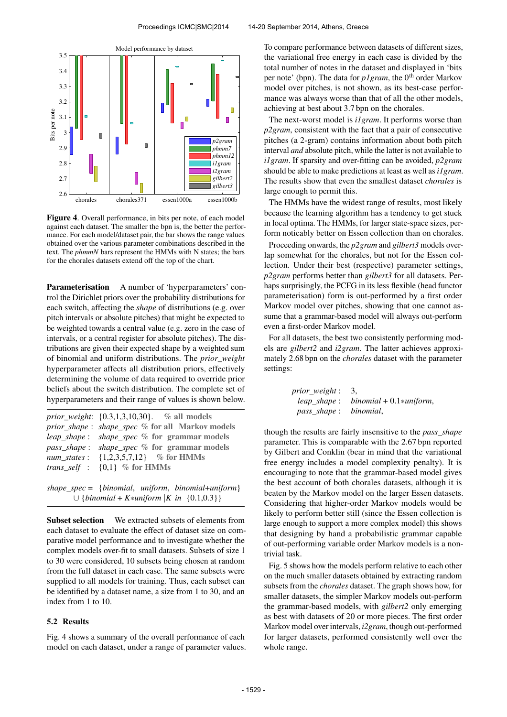

Figure 4. Overall performance, in bits per note, of each model against each dataset. The smaller the bpn is, the better the performance. For each model/dataset pair, the bar shows the range values obtained over the various parameter combinations described in the text. The *phmmN* bars represent the HMMs with N states; the bars for the chorales datasets extend off the top of the chart.

Parameterisation A number of 'hyperparameters' control the Dirichlet priors over the probability distributions for each switch, affecting the *shape* of distributions (e.g. over pitch intervals or absolute pitches) that might be expected to be weighted towards a central value (e.g. zero in the case of intervals, or a central register for absolute pitches). The distributions are given their expected shape by a weighted sum of binomial and uniform distributions. The *prior\_weight* hyperparameter affects all distribution priors, effectively determining the volume of data required to override prior beliefs about the switch distribution. The complete set of hyperparameters and their range of values is shown below.

| prior_weight: {0.3,1,3,10,30}. % all models                                                   |
|-----------------------------------------------------------------------------------------------|
| prior_shape: shape_spec % for all Markov models                                               |
| <i>leap_shape: shape_spec %</i> for grammar models                                            |
| <i>pass_shape: shape_spec %</i> for grammar models                                            |
| <i>num states</i> : $\{1,2,3,5,7,12\}$ % for HMMs                                             |
| <i>trans_self</i> : $\{0,1\}$ % for HMMs                                                      |
|                                                                                               |
| $(1 \cdot \cdot \cdot 1 \cdot \cdot c)$ is the set of $(1 \cdot \cdot \cdot 1 \cdot \cdot c)$ |

*shape\_spec* = {*binomial*, *uniform*, *binomial*+*uniform*} ∪ {*binomial* + *K*\**uniform* |*K in* {0.1,0.3}}

Subset selection We extracted subsets of elements from each dataset to evaluate the effect of dataset size on comparative model performance and to investigate whether the complex models over-fit to small datasets. Subsets of size 1 to 30 were considered, 10 subsets being chosen at random from the full dataset in each case. The same subsets were supplied to all models for training. Thus, each subset can be identified by a dataset name, a size from 1 to 30, and an index from 1 to 10.

#### 5.2 Results

Fig. 4 shows a summary of the overall performance of each model on each dataset, under a range of parameter values. To compare performance between datasets of different sizes, the variational free energy in each case is divided by the total number of notes in the dataset and displayed in 'bits per note' (bpn). The data for *p1gram*, the 0<sup>th</sup> order Markov model over pitches, is not shown, as its best-case performance was always worse than that of all the other models, achieving at best about 3.7 bpn on the chorales.

The next-worst model is *i1gram*. It performs worse than *p2gram*, consistent with the fact that a pair of consecutive pitches (a 2-gram) contains information about both pitch interval *and* absolute pitch, while the latter is not available to *i1gram*. If sparsity and over-fitting can be avoided, *p2gram* should be able to make predictions at least as well as *i1gram*. The results show that even the smallest dataset *chorales* is large enough to permit this.

The HMMs have the widest range of results, most likely because the learning algorithm has a tendency to get stuck in local optima. The HMMs, for larger state-space sizes, perform noticably better on Essen collection than on chorales.

Proceeding onwards, the *p2gram* and *gilbert3* models overlap somewhat for the chorales, but not for the Essen collection. Under their best (respective) parameter settings, *p2gram* performs better than *gilbert3* for all datasets. Perhaps surprisingly, the PCFG in its less flexible (head functor parameterisation) form is out-performed by a first order Markov model over pitches, showing that one cannot assume that a grammar-based model will always out-perform even a first-order Markov model.

For all datasets, the best two consistently performing models are *gilbert2* and *i2gram*. The latter achieves approximately 2.68 bpn on the *chorales* dataset with the parameter settings:

| <i>prior_weight</i> : 3, |                                        |
|--------------------------|----------------------------------------|
|                          | $leap\_shape: binomial + 0.1*uniform,$ |
| pass_shape: binomial,    |                                        |

though the results are fairly insensitive to the *pass\_shape* parameter. This is comparable with the 2.67 bpn reported by Gilbert and Conklin (bear in mind that the variational free energy includes a model complexity penalty). It is encouraging to note that the grammar-based model gives the best account of both chorales datasets, although it is beaten by the Markov model on the larger Essen datasets. Considering that higher-order Markov models would be likely to perform better still (since the Essen collection is large enough to support a more complex model) this shows that designing by hand a probabilistic grammar capable of out-performing variable order Markov models is a nontrivial task.

Fig. 5 shows how the models perform relative to each other on the much smaller datasets obtained by extracting random subsets from the *chorales* dataset. The graph shows how, for smaller datasets, the simpler Markov models out-perform the grammar-based models, with *gilbert2* only emerging as best with datasets of 20 or more pieces. The first order Markov model over intervals, *i2gram*, though out-performed for larger datasets, performed consistently well over the whole range.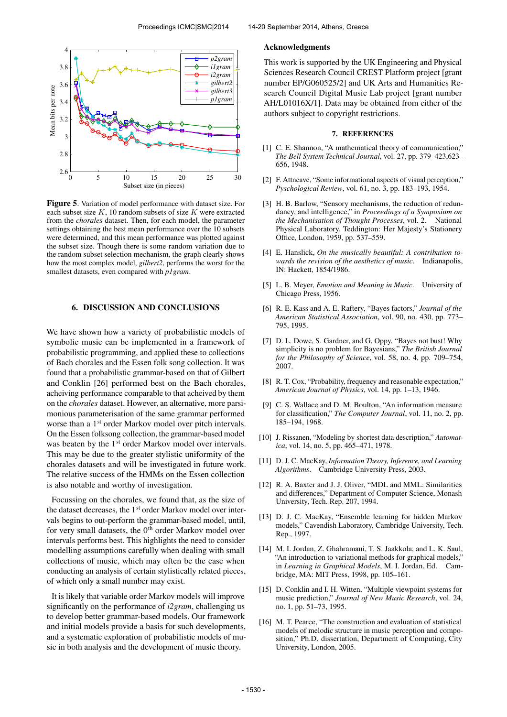

Figure 5. Variation of model performance with dataset size. For each subset size  $K$ , 10 random subsets of size  $K$  were extracted from the *chorales* dataset. Then, for each model, the parameter settings obtaining the best mean performance over the 10 subsets were determined, and this mean performance was plotted against the subset size. Though there is some random variation due to the random subset selection mechanism, the graph clearly shows how the most complex model, *gilbert2*, performs the worst for the smallest datasets, even compared with *p1gram*.

#### 6. DISCUSSION AND CONCLUSIONS

We have shown how a variety of probabilistic models of symbolic music can be implemented in a framework of probabilistic programming, and applied these to collections of Bach chorales and the Essen folk song collection. It was found that a probabilistic grammar-based on that of Gilbert and Conklin [26] performed best on the Bach chorales, acheiving performance comparable to that acheived by them on the *chorales* dataset. However, an alternative, more parsimonious parameterisation of the same grammar performed worse than a 1<sup>st</sup> order Markov model over pitch intervals. On the Essen folksong collection, the grammar-based model was beaten by the 1<sup>st</sup> order Markov model over intervals. This may be due to the greater stylistic uniformity of the chorales datasets and will be investigated in future work. The relative success of the HMMs on the Essen collection is also notable and worthy of investigation.

Focussing on the chorales, we found that, as the size of the dataset decreases, the 1<sup>st</sup> order Markov model over intervals begins to out-perform the grammar-based model, until, for very small datasets, the 0<sup>th</sup> order Markov model over intervals performs best. This highlights the need to consider modelling assumptions carefully when dealing with small collections of music, which may often be the case when conducting an analysis of certain stylistically related pieces, of which only a small number may exist.

It is likely that variable order Markov models will improve significantly on the performance of *i2gram*, challenging us to develop better grammar-based models. Our framework and initial models provide a basis for such developments, and a systematic exploration of probabilistic models of music in both analysis and the development of music theory.

#### Acknowledgments

This work is supported by the UK Engineering and Physical Sciences Research Council CREST Platform project [grant number EP/G060525/2] and UK Arts and Humanities Research Council Digital Music Lab project [grant number AH/L01016X/1]. Data may be obtained from either of the authors subject to copyright restrictions.

#### 7. REFERENCES

- [1] C. E. Shannon, "A mathematical theory of communication," *The Bell System Technical Journal*, vol. 27, pp. 379–423,623– 656, 1948.
- [2] F. Attneave, "Some informational aspects of visual perception," *Pyschological Review*, vol. 61, no. 3, pp. 183–193, 1954.
- [3] H. B. Barlow, "Sensory mechanisms, the reduction of redundancy, and intelligence," in *Proceedings of a Symposium on the Mechanisation of Thought Processes*, vol. 2. National Physical Laboratory, Teddington: Her Majesty's Stationery Office, London, 1959, pp. 537–559.
- [4] E. Hanslick, *On the musically beautiful: A contribution towards the revision of the aesthetics of music*. Indianapolis, IN: Hackett, 1854/1986.
- [5] L. B. Meyer, *Emotion and Meaning in Music*. University of Chicago Press, 1956.
- [6] R. E. Kass and A. E. Raftery, "Bayes factors," *Journal of the American Statistical Association*, vol. 90, no. 430, pp. 773– 795, 1995.
- [7] D. L. Dowe, S. Gardner, and G. Oppy, "Bayes not bust! Why simplicity is no problem for Bayesians," *The British Journal for the Philosophy of Science*, vol. 58, no. 4, pp. 709–754, 2007.
- [8] R. T. Cox, "Probability, frequency and reasonable expectation," *American Journal of Physics*, vol. 14, pp. 1–13, 1946.
- [9] C. S. Wallace and D. M. Boulton, "An information measure for classification," *The Computer Journal*, vol. 11, no. 2, pp. 185–194, 1968.
- [10] J. Rissanen, "Modeling by shortest data description," *Automatica*, vol. 14, no. 5, pp. 465–471, 1978.
- [11] D. J. C. MacKay, *Information Theory, Inference, and Learning Algorithms*. Cambridge University Press, 2003.
- [12] R. A. Baxter and J. J. Oliver, "MDL and MML: Similarities and differences," Department of Computer Science, Monash University, Tech. Rep. 207, 1994.
- [13] D. J. C. MacKay, "Ensemble learning for hidden Markov models," Cavendish Laboratory, Cambridge University, Tech. Rep., 1997.
- [14] M. I. Jordan, Z. Ghahramani, T. S. Jaakkola, and L. K. Saul, "An introduction to variational methods for graphical models," in *Learning in Graphical Models*, M. I. Jordan, Ed. Cambridge, MA: MIT Press, 1998, pp. 105–161.
- [15] D. Conklin and I. H. Witten, "Multiple viewpoint systems for music prediction," *Journal of New Music Research*, vol. 24, no. 1, pp. 51–73, 1995.
- [16] M. T. Pearce, "The construction and evaluation of statistical models of melodic structure in music perception and composition," Ph.D. dissertation, Department of Computing, City University, London, 2005.